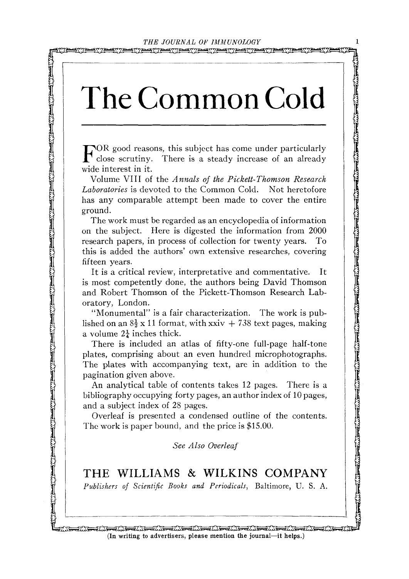אייות

FOR good reasons, this subject has come under particularly  $\Gamma$  close scrutiny. There is a steady increase of an already wide interest in it.

Volume VIII of the *Annals of the Pickett-Thomson Research Laboratories* is devoted to the Common Cold. Not heretofore has any comparable attempt been made to cover the entire ground.

**The Common is subject that come under particularly with the same intervents in the same of a steady increase of an about the same of a steady increase in the same of a steady increase in the same of a steady increase is** The work must be regarded as an encyclopedia of information on the subject. Here is digested the information from 2000 research papers, in process of collection for twenty years. To this is added the authors' own extensive researches, covering fifteen years.

It is a critical review, interpretative and commentative. It is most competently done, the authors being David Thomson and Robert Thomson of the Pickett-Thomson Research Laboratory, London.

"Monumental" is a fair characterization. The work is published on an  $8\frac{1}{2}$  x 11 format, with xxiv + 738 text pages, making a volume  $2\frac{1}{4}$  inches thick.

There is included an atlas of fifty-one full-page half-tone plates, comprising about an even hundred microphotographs. The plates with accompanying text, are in addition to the { pagination given above.

An analytical table of contents takes 12 pages. There is a bibliography occupying forty pages, an author index of 10 pages, and a subject index of 28 pages.

Overleaf is presented a condensed outline of the contents. The work is paper bound, and the price is \$15.00.

*See Also Overleaf* 

**THE WILLIAMS & WILKINS COMPANY**  *Publishers of Scientific Books and Periodicals,* Baltimore, U. S. A.

ann ann an Dealaine ann an Dealaiseachd ann ann an Dealaiseachd ann an Dealaiseachd ann an Dealaiseachd ann an <del>Q</del>IN<del>S Q</del>INS (In writing to advertisers, please mention the journal-it helps.)